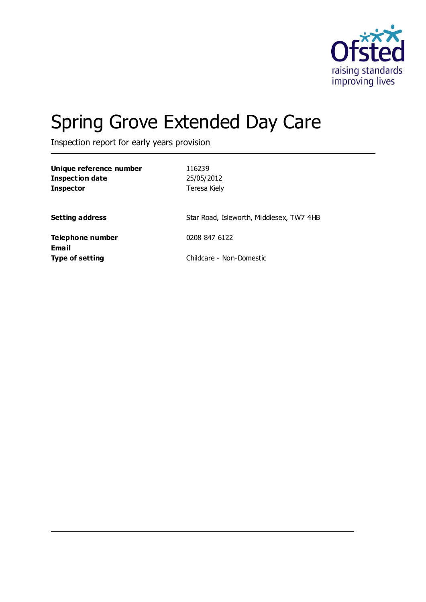

# Spring Grove Extended Day Care

Inspection report for early years provision

| Unique reference number<br>Inspection date<br><b>Inspector</b> | 116239<br>25/05/2012<br>Teresa Kiely     |
|----------------------------------------------------------------|------------------------------------------|
| <b>Setting address</b>                                         | Star Road, Isleworth, Middlesex, TW7 4HB |
| Telephone number                                               | 0208 847 6122                            |
| Email<br><b>Type of setting</b>                                | Childcare - Non-Domestic                 |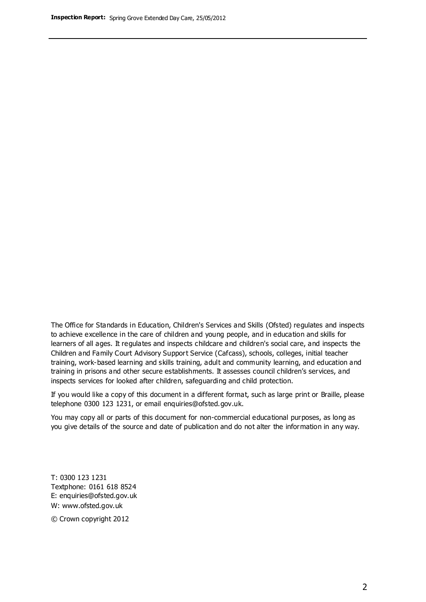The Office for Standards in Education, Children's Services and Skills (Ofsted) regulates and inspects to achieve excellence in the care of children and young people, and in education and skills for learners of all ages. It regulates and inspects childcare and children's social care, and inspects the Children and Family Court Advisory Support Service (Cafcass), schools, colleges, initial teacher training, work-based learning and skills training, adult and community learning, and education and training in prisons and other secure establishments. It assesses council children's services, and inspects services for looked after children, safeguarding and child protection.

If you would like a copy of this document in a different format, such as large print or Braille, please telephone 0300 123 1231, or email enquiries@ofsted.gov.uk.

You may copy all or parts of this document for non-commercial educational purposes, as long as you give details of the source and date of publication and do not alter the information in any way.

T: 0300 123 1231 Textphone: 0161 618 8524 E: enquiries@ofsted.gov.uk W: [www.ofsted.gov.uk](http://www.ofsted.gov.uk/)

© Crown copyright 2012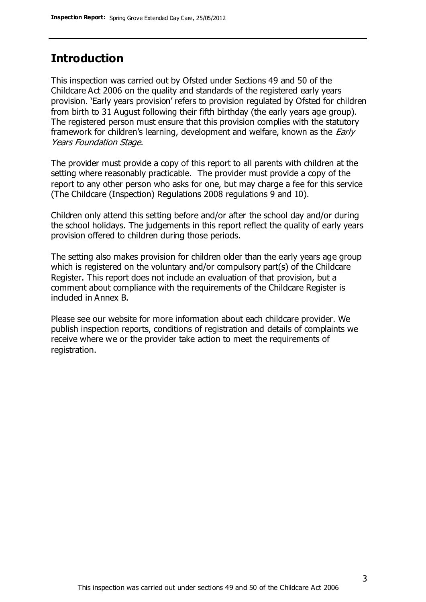### **Introduction**

This inspection was carried out by Ofsted under Sections 49 and 50 of the Childcare Act 2006 on the quality and standards of the registered early years provision. 'Early years provision' refers to provision regulated by Ofsted for children from birth to 31 August following their fifth birthday (the early years age group). The registered person must ensure that this provision complies with the statutory framework for children's learning, development and welfare, known as the *Early* Years Foundation Stage.

The provider must provide a copy of this report to all parents with children at the setting where reasonably practicable. The provider must provide a copy of the report to any other person who asks for one, but may charge a fee for this service (The Childcare (Inspection) Regulations 2008 regulations 9 and 10).

Children only attend this setting before and/or after the school day and/or during the school holidays. The judgements in this report reflect the quality of early years provision offered to children during those periods.

The setting also makes provision for children older than the early years age group which is registered on the voluntary and/or compulsory part(s) of the Childcare Register. This report does not include an evaluation of that provision, but a comment about compliance with the requirements of the Childcare Register is included in Annex B.

Please see our website for more information about each childcare provider. We publish inspection reports, conditions of registration and details of complaints we receive where we or the provider take action to meet the requirements of registration.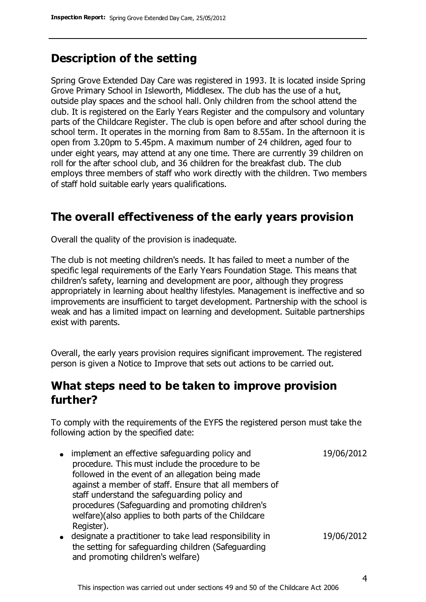### **Description of the setting**

Spring Grove Extended Day Care was registered in 1993. It is located inside Spring Grove Primary School in Isleworth, Middlesex. The club has the use of a hut, outside play spaces and the school hall. Only children from the school attend the club. It is registered on the Early Years Register and the compulsory and voluntary parts of the Childcare Register. The club is open before and after school during the school term. It operates in the morning from 8am to 8.55am. In the afternoon it is open from 3.20pm to 5.45pm. A maximum number of 24 children, aged four to under eight years, may attend at any one time. There are currently 39 children on roll for the after school club, and 36 children for the breakfast club. The club employs three members of staff who work directly with the children. Two members of staff hold suitable early years qualifications.

### **The overall effectiveness of the early years provision**

Overall the quality of the provision is inadequate.

The club is not meeting children's needs. It has failed to meet a number of the specific legal requirements of the Early Years Foundation Stage. This means that children's safety, learning and development are poor, although they progress appropriately in learning about healthy lifestyles. Management is ineffective and so improvements are insufficient to target development. Partnership with the school is weak and has a limited impact on learning and development. Suitable partnerships exist with parents.

Overall, the early years provision requires significant improvement. The registered person is given a Notice to Improve that sets out actions to be carried out.

### **What steps need to be taken to improve provision further?**

To comply with the requirements of the EYFS the registered person must take the following action by the specified date:

- implement an effective safeguarding policy and procedure. This must include the procedure to be followed in the event of an allegation being made against a member of staff. Ensure that all members of staff understand the safeguarding policy and procedures (Safeguarding and promoting children's welfare)(also applies to both parts of the Childcare Register). 19/06/2012 designate a practitioner to take lead responsibility in 19/06/2012
- the setting for safeguarding children (Safeguarding and promoting children's welfare)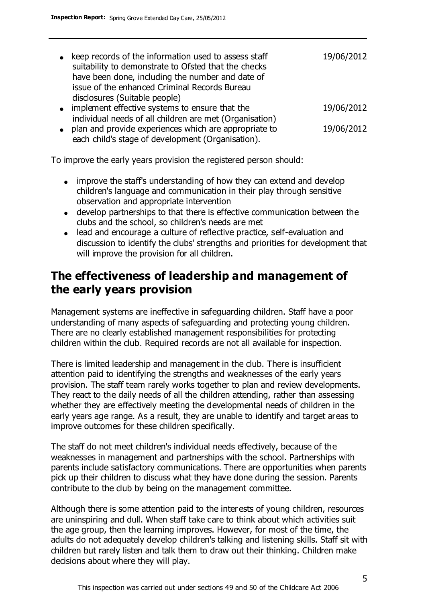| $\bullet$ | keep records of the information used to assess staff<br>suitability to demonstrate to Ofsted that the checks<br>have been done, including the number and date of | 19/06/2012 |
|-----------|------------------------------------------------------------------------------------------------------------------------------------------------------------------|------------|
|           | issue of the enhanced Criminal Records Bureau<br>disclosures (Suitable people)                                                                                   |            |
|           | • implement effective systems to ensure that the                                                                                                                 | 19/06/2012 |
|           | individual needs of all children are met (Organisation)<br>• plan and provide experiences which are appropriate to                                               | 19/06/2012 |
|           | each child's stage of development (Organisation).                                                                                                                |            |

To improve the early years provision the registered person should:

- improve the staff's understanding of how they can extend and develop children's language and communication in their play through sensitive observation and appropriate intervention
- develop partnerships to that there is effective communication between the clubs and the school, so children's needs are met
- lead and encourage a culture of reflective practice, self-evaluation and discussion to identify the clubs' strengths and priorities for development that will improve the provision for all children.

# **The effectiveness of leadership and management of the early years provision**

Management systems are ineffective in safeguarding children. Staff have a poor understanding of many aspects of safeguarding and protecting young children. There are no clearly established management responsibilities for protecting children within the club. Required records are not all available for inspection.

There is limited leadership and management in the club. There is insufficient attention paid to identifying the strengths and weaknesses of the early years provision. The staff team rarely works together to plan and review developments. They react to the daily needs of all the children attending, rather than assessing whether they are effectively meeting the developmental needs of children in the early years age range. As a result, they are unable to identify and target areas to improve outcomes for these children specifically.

The staff do not meet children's individual needs effectively, because of the weaknesses in management and partnerships with the school. Partnerships with parents include satisfactory communications. There are opportunities when parents pick up their children to discuss what they have done during the session. Parents contribute to the club by being on the management committee.

Although there is some attention paid to the interests of young children, resources are uninspiring and dull. When staff take care to think about which activities suit the age group, then the learning improves. However, for most of the time, the adults do not adequately develop children's talking and listening skills. Staff sit with children but rarely listen and talk them to draw out their thinking. Children make decisions about where they will play.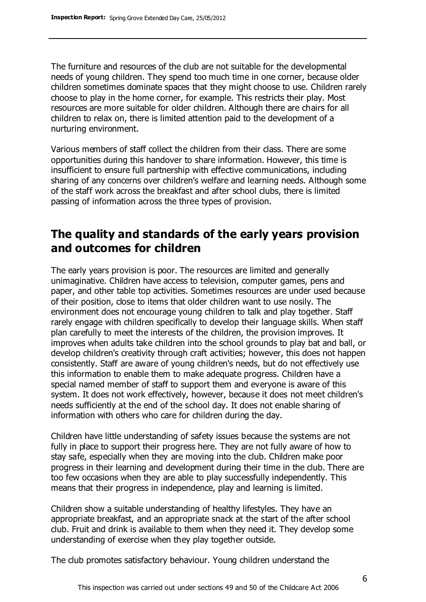The furniture and resources of the club are not suitable for the developmental needs of young children. They spend too much time in one corner, because older children sometimes dominate spaces that they might choose to use. Children rarely choose to play in the home corner, for example. This restricts their play. Most resources are more suitable for older children. Although there are chairs for all children to relax on, there is limited attention paid to the development of a nurturing environment.

Various members of staff collect the children from their class. There are some opportunities during this handover to share information. However, this time is insufficient to ensure full partnership with effective communications, including sharing of any concerns over children's welfare and learning needs. Although some of the staff work across the breakfast and after school clubs, there is limited passing of information across the three types of provision.

# **The quality and standards of the early years provision and outcomes for children**

The early years provision is poor. The resources are limited and generally unimaginative. Children have access to television, computer games, pens and paper, and other table top activities. Sometimes resources are under used because of their position, close to items that older children want to use nosily. The environment does not encourage young children to talk and play together. Staff rarely engage with children specifically to develop their language skills. When staff plan carefully to meet the interests of the children, the provision improves. It improves when adults take children into the school grounds to play bat and ball, or develop children's creativity through craft activities; however, this does not happen consistently. Staff are aware of young children's needs, but do not effectively use this information to enable them to make adequate progress. Children have a special named member of staff to support them and everyone is aware of this system. It does not work effectively, however, because it does not meet children's needs sufficiently at the end of the school day. It does not enable sharing of information with others who care for children during the day.

Children have little understanding of safety issues because the systems are not fully in place to support their progress here. They are not fully aware of how to stay safe, especially when they are moving into the club. Children make poor progress in their learning and development during their time in the club. There are too few occasions when they are able to play successfully independently. This means that their progress in independence, play and learning is limited.

Children show a suitable understanding of healthy lifestyles. They have an appropriate breakfast, and an appropriate snack at the start of the after school club. Fruit and drink is available to them when they need it. They develop some understanding of exercise when they play together outside.

The club promotes satisfactory behaviour. Young children understand the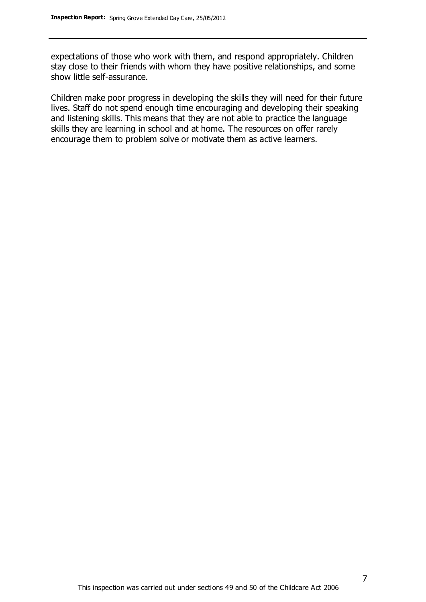expectations of those who work with them, and respond appropriately. Children stay close to their friends with whom they have positive relationships, and some show little self-assurance.

Children make poor progress in developing the skills they will need for their future lives. Staff do not spend enough time encouraging and developing their speaking and listening skills. This means that they are not able to practice the language skills they are learning in school and at home. The resources on offer rarely encourage them to problem solve or motivate them as active learners.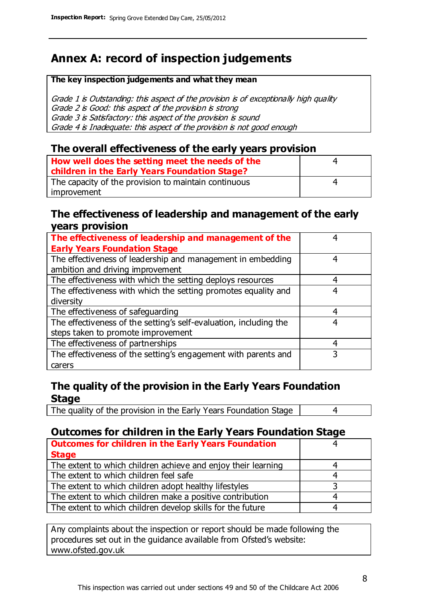# **Annex A: record of inspection judgements**

#### **The key inspection judgements and what they mean**

Grade 1 is Outstanding: this aspect of the provision is of exceptionally high quality Grade 2 is Good: this aspect of the provision is strong Grade 3 is Satisfactory: this aspect of the provision is sound Grade 4 is Inadequate: this aspect of the provision is not good enough

### **The overall effectiveness of the early years provision**

| How well does the setting meet the needs of the<br>children in the Early Years Foundation Stage? | 4 |
|--------------------------------------------------------------------------------------------------|---|
| The capacity of the provision to maintain continuous                                             | 4 |
| improvement                                                                                      |   |

### **The effectiveness of leadership and management of the early years provision**

| The effectiveness of leadership and management of the             | 4 |
|-------------------------------------------------------------------|---|
| <b>Early Years Foundation Stage</b>                               |   |
| The effectiveness of leadership and management in embedding       | 4 |
| ambition and driving improvement                                  |   |
| The effectiveness with which the setting deploys resources        | 4 |
| The effectiveness with which the setting promotes equality and    | 4 |
| diversity                                                         |   |
| The effectiveness of safeguarding                                 | 4 |
| The effectiveness of the setting's self-evaluation, including the | 4 |
| steps taken to promote improvement                                |   |
| The effectiveness of partnerships                                 | 4 |
| The effectiveness of the setting's engagement with parents and    |   |
| carers                                                            |   |

### **The quality of the provision in the Early Years Foundation Stage**

The quality of the provision in the Early Years Foundation Stage | 4

### **Outcomes for children in the Early Years Foundation Stage**

| <b>Outcomes for children in the Early Years Foundation</b>    |   |
|---------------------------------------------------------------|---|
| <b>Stage</b>                                                  |   |
| The extent to which children achieve and enjoy their learning |   |
| The extent to which children feel safe                        | 4 |
| The extent to which children adopt healthy lifestyles         | 2 |
| The extent to which children make a positive contribution     |   |
| The extent to which children develop skills for the future    |   |

Any complaints about the inspection or report should be made following the procedures set out in the guidance available from Ofsted's website: www.ofsted.gov.uk